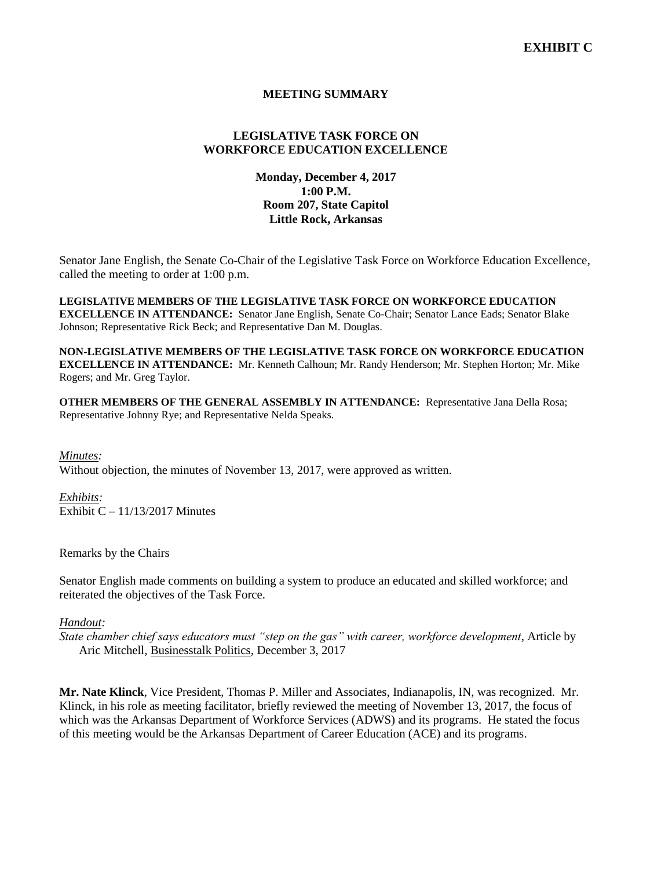# **MEETING SUMMARY**

# **LEGISLATIVE TASK FORCE ON WORKFORCE EDUCATION EXCELLENCE**

# **Monday, December 4, 2017 1:00 P.M. Room 207, State Capitol Little Rock, Arkansas**

Senator Jane English, the Senate Co-Chair of the Legislative Task Force on Workforce Education Excellence, called the meeting to order at 1:00 p.m.

**LEGISLATIVE MEMBERS OF THE LEGISLATIVE TASK FORCE ON WORKFORCE EDUCATION EXCELLENCE IN ATTENDANCE:** Senator Jane English, Senate Co-Chair; Senator Lance Eads; Senator Blake Johnson; Representative Rick Beck; and Representative Dan M. Douglas.

**NON-LEGISLATIVE MEMBERS OF THE LEGISLATIVE TASK FORCE ON WORKFORCE EDUCATION EXCELLENCE IN ATTENDANCE:** Mr. Kenneth Calhoun; Mr. Randy Henderson; Mr. Stephen Horton; Mr. Mike Rogers; and Mr. Greg Taylor.

**OTHER MEMBERS OF THE GENERAL ASSEMBLY IN ATTENDANCE:** Representative Jana Della Rosa; Representative Johnny Rye; and Representative Nelda Speaks.

*Minutes:* Without objection, the minutes of November 13, 2017, were approved as written.

*Exhibits:* Exhibit  $C - 11/13/2017$  Minutes

Remarks by the Chairs

Senator English made comments on building a system to produce an educated and skilled workforce; and reiterated the objectives of the Task Force.

*Handout:*

*State chamber chief says educators must "step on the gas" with career, workforce development*, Article by Aric Mitchell, Businesstalk Politics, December 3, 2017

**Mr. Nate Klinck**, Vice President, Thomas P. Miller and Associates, Indianapolis, IN, was recognized. Mr. Klinck, in his role as meeting facilitator, briefly reviewed the meeting of November 13, 2017, the focus of which was the Arkansas Department of Workforce Services (ADWS) and its programs. He stated the focus of this meeting would be the Arkansas Department of Career Education (ACE) and its programs.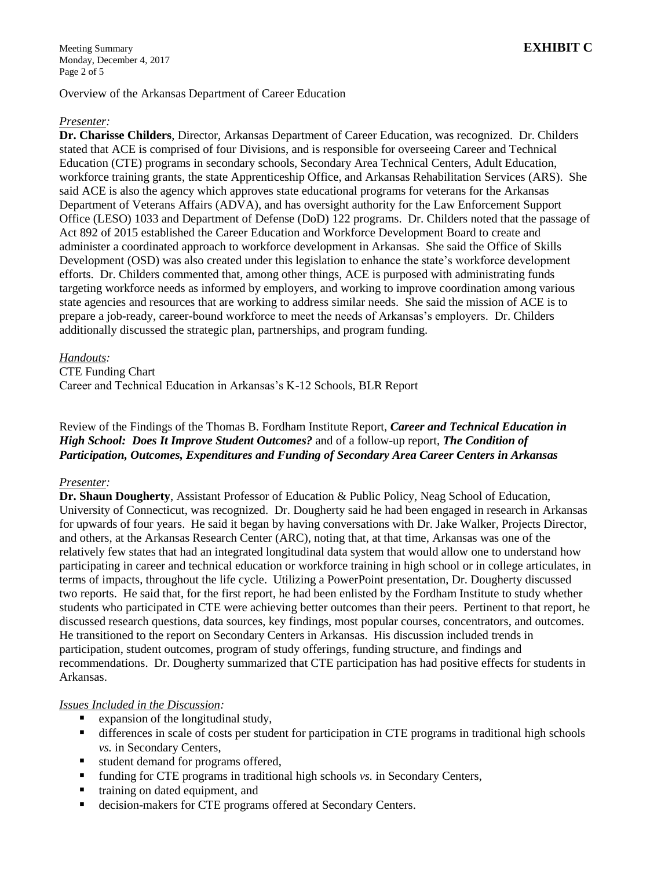Overview of the Arkansas Department of Career Education

#### *Presenter:*

**Dr. Charisse Childers**, Director, Arkansas Department of Career Education, was recognized. Dr. Childers stated that ACE is comprised of four Divisions, and is responsible for overseeing Career and Technical Education (CTE) programs in secondary schools, Secondary Area Technical Centers, Adult Education, workforce training grants, the state Apprenticeship Office, and Arkansas Rehabilitation Services (ARS). She said ACE is also the agency which approves state educational programs for veterans for the Arkansas Department of Veterans Affairs (ADVA), and has oversight authority for the Law Enforcement Support Office (LESO) 1033 and Department of Defense (DoD) 122 programs. Dr. Childers noted that the passage of Act 892 of 2015 established the Career Education and Workforce Development Board to create and administer a coordinated approach to workforce development in Arkansas. She said the Office of Skills Development (OSD) was also created under this legislation to enhance the state's workforce development efforts. Dr. Childers commented that, among other things, ACE is purposed with administrating funds targeting workforce needs as informed by employers, and working to improve coordination among various state agencies and resources that are working to address similar needs. She said the mission of ACE is to prepare a job-ready, career-bound workforce to meet the needs of Arkansas's employers. Dr. Childers additionally discussed the strategic plan, partnerships, and program funding.

### *Handouts:*

CTE Funding Chart

Career and Technical Education in Arkansas's K-12 Schools, BLR Report

Review of the Findings of the Thomas B. Fordham Institute Report, *Career and Technical Education in High School: Does It Improve Student Outcomes?* and of a follow-up report, *The Condition of Participation, Outcomes, Expenditures and Funding of Secondary Area Career Centers in Arkansas*

### *Presenter:*

**Dr. Shaun Dougherty**, Assistant Professor of Education & Public Policy, Neag School of Education, University of Connecticut, was recognized. Dr. Dougherty said he had been engaged in research in Arkansas for upwards of four years. He said it began by having conversations with Dr. Jake Walker, Projects Director, and others, at the Arkansas Research Center (ARC), noting that, at that time, Arkansas was one of the relatively few states that had an integrated longitudinal data system that would allow one to understand how participating in career and technical education or workforce training in high school or in college articulates, in terms of impacts, throughout the life cycle. Utilizing a PowerPoint presentation, Dr. Dougherty discussed two reports. He said that, for the first report, he had been enlisted by the Fordham Institute to study whether students who participated in CTE were achieving better outcomes than their peers. Pertinent to that report, he discussed research questions, data sources, key findings, most popular courses, concentrators, and outcomes. He transitioned to the report on Secondary Centers in Arkansas. His discussion included trends in participation, student outcomes, program of study offerings, funding structure, and findings and recommendations. Dr. Dougherty summarized that CTE participation has had positive effects for students in Arkansas.

### *Issues Included in the Discussion:*

- expansion of the longitudinal study,
- differences in scale of costs per student for participation in CTE programs in traditional high schools *vs.* in Secondary Centers,
- **student demand for programs offered,**
- funding for CTE programs in traditional high schools *vs.* in Secondary Centers,
- training on dated equipment, and
- decision-makers for CTE programs offered at Secondary Centers.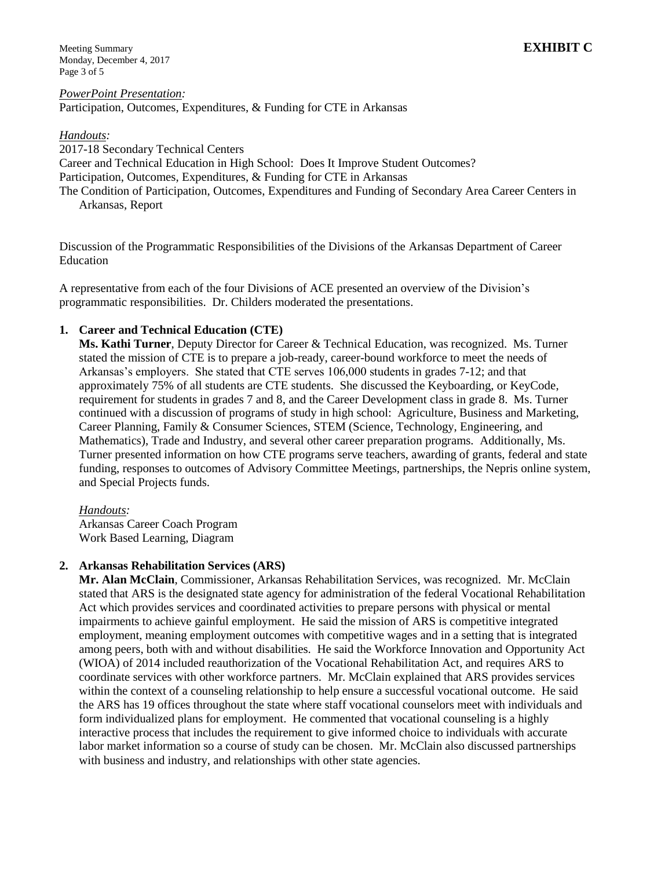Meeting Summary **EXHIBIT C** Monday, December 4, 2017 Page 3 of 5

*PowerPoint Presentation:* Participation, Outcomes, Expenditures, & Funding for CTE in Arkansas

#### *Handouts:*

2017-18 Secondary Technical Centers Career and Technical Education in High School: Does It Improve Student Outcomes? Participation, Outcomes, Expenditures, & Funding for CTE in Arkansas The Condition of Participation, Outcomes, Expenditures and Funding of Secondary Area Career Centers in Arkansas, Report

Discussion of the Programmatic Responsibilities of the Divisions of the Arkansas Department of Career Education

A representative from each of the four Divisions of ACE presented an overview of the Division's programmatic responsibilities. Dr. Childers moderated the presentations.

### **1. Career and Technical Education (CTE)**

**Ms. Kathi Turner**, Deputy Director for Career & Technical Education, was recognized. Ms. Turner stated the mission of CTE is to prepare a job-ready, career-bound workforce to meet the needs of Arkansas's employers. She stated that CTE serves 106,000 students in grades 7-12; and that approximately 75% of all students are CTE students. She discussed the Keyboarding, or KeyCode, requirement for students in grades 7 and 8, and the Career Development class in grade 8. Ms. Turner continued with a discussion of programs of study in high school: Agriculture, Business and Marketing, Career Planning, Family & Consumer Sciences, STEM (Science, Technology, Engineering, and Mathematics), Trade and Industry, and several other career preparation programs. Additionally, Ms. Turner presented information on how CTE programs serve teachers, awarding of grants, federal and state funding, responses to outcomes of Advisory Committee Meetings, partnerships, the Nepris online system, and Special Projects funds.

*Handouts:*

Arkansas Career Coach Program Work Based Learning, Diagram

### **2. Arkansas Rehabilitation Services (ARS)**

**Mr. Alan McClain**, Commissioner, Arkansas Rehabilitation Services, was recognized.Mr. McClain stated that ARS is the designated state agency for administration of the federal Vocational Rehabilitation Act which provides services and coordinated activities to prepare persons with physical or mental impairments to achieve gainful employment. He said the mission of ARS is competitive integrated employment, meaning employment outcomes with competitive wages and in a setting that is integrated among peers, both with and without disabilities. He said the Workforce Innovation and Opportunity Act (WIOA) of 2014 included reauthorization of the Vocational Rehabilitation Act, and requires ARS to coordinate services with other workforce partners. Mr. McClain explained that ARS provides services within the context of a counseling relationship to help ensure a successful vocational outcome. He said the ARS has 19 offices throughout the state where staff vocational counselors meet with individuals and form individualized plans for employment. He commented that vocational counseling is a highly interactive process that includes the requirement to give informed choice to individuals with accurate labor market information so a course of study can be chosen. Mr. McClain also discussed partnerships with business and industry, and relationships with other state agencies.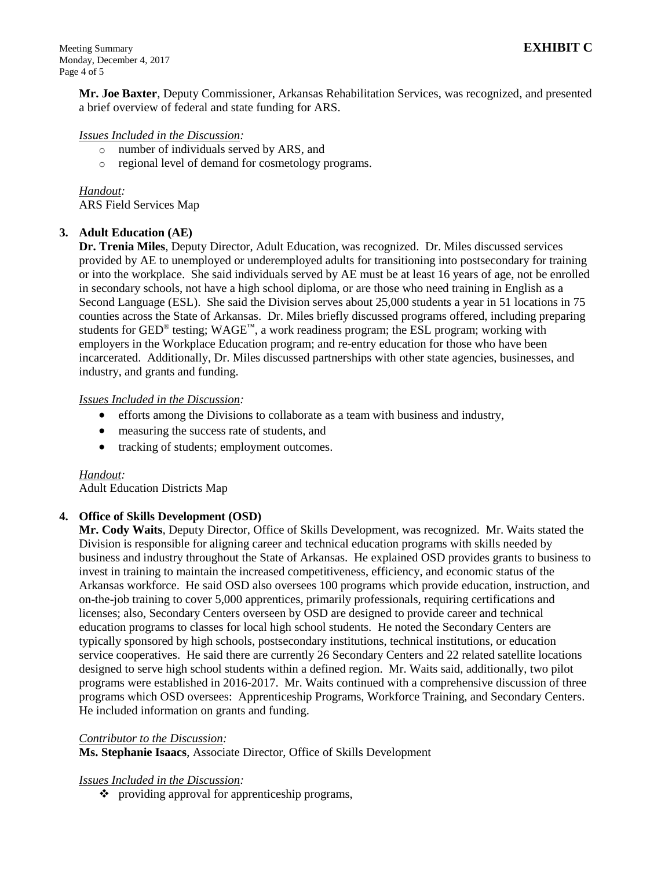**Mr. Joe Baxter**, Deputy Commissioner, Arkansas Rehabilitation Services, was recognized, and presented a brief overview of federal and state funding for ARS.

#### *Issues Included in the Discussion:*

- o number of individuals served by ARS, and
- o regional level of demand for cosmetology programs.

*Handout:* ARS Field Services Map

### **3. Adult Education (AE)**

**Dr. Trenia Miles**, Deputy Director, Adult Education, was recognized. Dr. Miles discussed services provided by AE to unemployed or underemployed adults for transitioning into postsecondary for training or into the workplace. She said individuals served by AE must be at least 16 years of age, not be enrolled in secondary schools, not have a high school diploma, or are those who need training in English as a Second Language (ESL). She said the Division serves about 25,000 students a year in 51 locations in 75 counties across the State of Arkansas. Dr. Miles briefly discussed programs offered, including preparing students for GED® testing; WAGE™, a work readiness program; the ESL program; working with employers in the Workplace Education program; and re-entry education for those who have been incarcerated. Additionally, Dr. Miles discussed partnerships with other state agencies, businesses, and industry, and grants and funding.

#### *Issues Included in the Discussion:*

- efforts among the Divisions to collaborate as a team with business and industry,
- measuring the success rate of students, and
- tracking of students; employment outcomes.

#### *Handout:*

Adult Education Districts Map

### **4. Office of Skills Development (OSD)**

**Mr. Cody Waits**, Deputy Director, Office of Skills Development, was recognized. Mr. Waits stated the Division is responsible for aligning career and technical education programs with skills needed by business and industry throughout the State of Arkansas. He explained OSD provides grants to business to invest in training to maintain the increased competitiveness, efficiency, and economic status of the Arkansas workforce. He said OSD also oversees 100 programs which provide education, instruction, and on-the-job training to cover 5,000 apprentices, primarily professionals, requiring certifications and licenses; also, Secondary Centers overseen by OSD are designed to provide career and technical education programs to classes for local high school students. He noted the Secondary Centers are typically sponsored by high schools, postsecondary institutions, technical institutions, or education service cooperatives. He said there are currently 26 Secondary Centers and 22 related satellite locations designed to serve high school students within a defined region. Mr. Waits said, additionally, two pilot programs were established in 2016-2017. Mr. Waits continued with a comprehensive discussion of three programs which OSD oversees: Apprenticeship Programs, Workforce Training, and Secondary Centers. He included information on grants and funding.

#### *Contributor to the Discussion:*

**Ms. Stephanie Isaacs**, Associate Director, Office of Skills Development

#### *Issues Included in the Discussion:*

 $\bullet$  providing approval for apprenticeship programs,